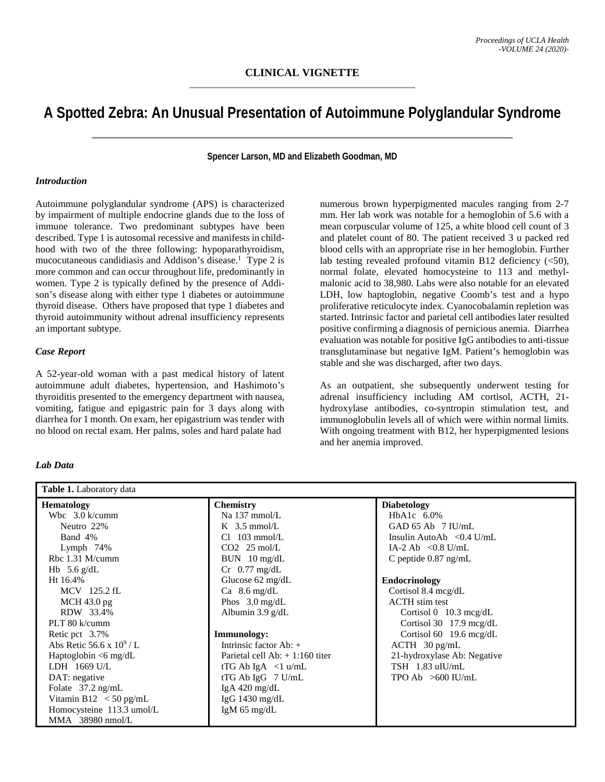# **A Spotted Zebra: An Unusual Presentation of Autoimmune Polyglandular Syndrome**

**Spencer Larson, MD and Elizabeth Goodman, MD**

### *Introduction*

Autoimmune polyglandular syndrome (APS) is characterized by impairment of multiple endocrine glands due to the loss of immune tolerance. Two predominant subtypes have been described. Type 1 is autosomal recessive and manifests in childhood with two of the three following: hypoparathyroidism, mucocutaneous candidiasis and Addison's disease.<sup>1</sup> Type 2 is more common and can occur throughout life, predominantly in women. Type 2 is typically defined by the presence of Addison's disease along with either type 1 diabetes or autoimmune thyroid disease. Others have proposed that type 1 diabetes and thyroid autoimmunity without adrenal insufficiency represents an important subtype.

### *Case Report*

A 52-year-old woman with a past medical history of latent autoimmune adult diabetes, hypertension, and Hashimoto's thyroiditis presented to the emergency department with nausea, vomiting, fatigue and epigastric pain for 3 days along with diarrhea for 1 month. On exam, her epigastrium was tender with no blood on rectal exam. Her palms, soles and hard palate had

numerous brown hyperpigmented macules ranging from 2-7 mm. Her lab work was notable for a hemoglobin of 5.6 with a mean corpuscular volume of 125, a white blood cell count of 3 and platelet count of 80. The patient received 3 u packed red blood cells with an appropriate rise in her hemoglobin. Further lab testing revealed profound vitamin B12 deficiency  $(<50$ ), normal folate, elevated homocysteine to 113 and methylmalonic acid to 38,980. Labs were also notable for an elevated LDH, low haptoglobin, negative Coomb's test and a hypo proliferative reticulocyte index. Cyanocobalamin repletion was started. Intrinsic factor and parietal cell antibodies later resulted positive confirming a diagnosis of pernicious anemia. Diarrhea evaluation was notable for positive IgG antibodies to anti-tissue transglutaminase but negative IgM. Patient's hemoglobin was stable and she was discharged, after two days.

As an outpatient, she subsequently underwent testing for adrenal insufficiency including AM cortisol, ACTH, 21 hydroxylase antibodies, co-syntropin stimulation test, and immunoglobulin levels all of which were within normal limits. With ongoing treatment with B12, her hyperpigmented lesions and her anemia improved.

| <b>Table 1.</b> Laboratory data |                                   |                                           |
|---------------------------------|-----------------------------------|-------------------------------------------|
| <b>Hematology</b>               | <b>Chemistry</b>                  | <b>Diabetology</b>                        |
| Wbc $3.0 \text{ k/cumm}$        | Na 137 mmol/L                     | HbA1c $6.0\%$                             |
| Neutro 22%                      | $K$ 3.5 mmol/L                    | GAD $65$ Ab $7$ IU/mL                     |
| Band 4%                         | $Cl$ 103 mmol/L                   | Insulin AutoAb $\langle 0.4 \text{ U/mL}$ |
| Lymph $74%$                     | $CO2$ 25 mol/L                    | IA-2 Ab $\langle 0.8 \text{ U/mL}$        |
| Rbc 1.31 M/cumm                 | $BUN$ 10 mg/dL                    | C peptide $0.87$ ng/mL                    |
| Hb 5.6 $g/dL$                   | $Cr$ 0.77 mg/dL                   |                                           |
| Ht 16.4%                        | Glucose 62 mg/dL                  | <b>Endocrinology</b>                      |
| MCV 125.2 fL                    | Ca $8.6 \text{ mg/dL}$            | Cortisol 8.4 mcg/dL                       |
| MCH 43.0 pg                     | Phos $3.0 \text{ mg/dL}$          | <b>ACTH</b> stim test                     |
| RDW 33.4%                       | Albumin $3.9 \text{ g/d}$ L       | Cortisol $0$ 10.3 mcg/dL                  |
| PLT 80 k/cumm                   |                                   | Cortisol 30 $17.9 \text{~mcg/dL}$         |
| Retic pct 3.7%                  | <b>Immunology:</b>                | Cortisol 60 $19.6 \text{~mg/dL}$          |
| Abs Retic 56.6 x $10^9$ / L     | Intrinsic factor $Ab: +$          | $ACTH$ 30 pg/mL                           |
| Haptoglobin $\leq 6$ mg/dL      | Parietal cell $Ab: + 1:160$ titer | 21-hydroxylase Ab: Negative               |
| LDH $1669$ U/L                  | tTG Ab IgA $\langle$ 1 u/mL       | TSH 1.83 uIU/mL                           |
| DAT: negative                   | tTG Ab IgG $7$ U/mL               | TPO Ab $>600$ IU/mL                       |
| Folate $37.2 \text{ ng/mL}$     | IgA $420 \text{ mg/dL}$           |                                           |
| Vitamin B12 $\lt$ 50 pg/mL      | IgG $1430 \text{ mg/dL}$          |                                           |
| Homocysteine 113.3 umol/L       | IgM $65 \text{ mg/dL}$            |                                           |
| MMA 38980 nmol/L                |                                   |                                           |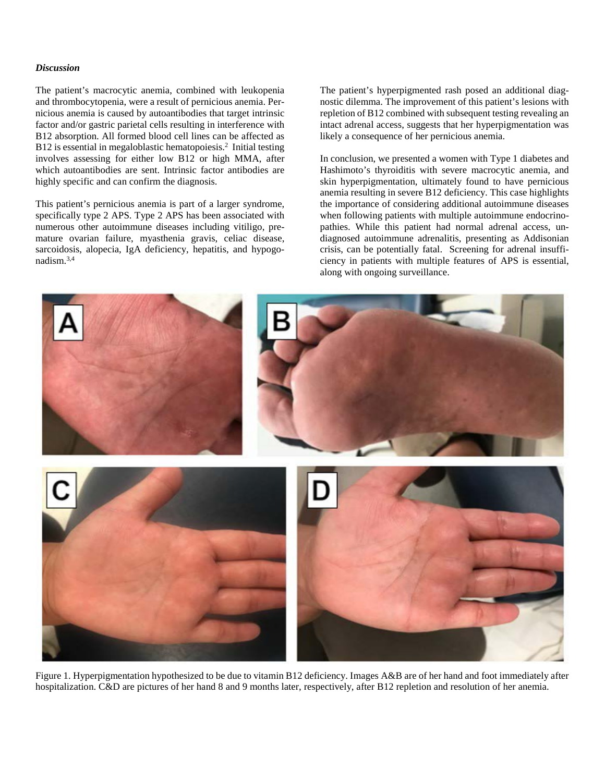### *Discussion*

The patient's macrocytic anemia, combined with leukopenia and thrombocytopenia, were a result of pernicious anemia. Pernicious anemia is caused by autoantibodies that target intrinsic factor and/or gastric parietal cells resulting in interference with B12 absorption. All formed blood cell lines can be affected as B12 is essential in megaloblastic hematopoiesis.<sup>2</sup> Initial testing involves assessing for either low B12 or high MMA, after which autoantibodies are sent. Intrinsic factor antibodies are highly specific and can confirm the diagnosis.

This patient's pernicious anemia is part of a larger syndrome, specifically type 2 APS. Type 2 APS has been associated with numerous other autoimmune diseases including vitiligo, premature ovarian failure, myasthenia gravis, celiac disease, sarcoidosis, alopecia, IgA deficiency, hepatitis, and hypogonadism.3,4

The patient's hyperpigmented rash posed an additional diagnostic dilemma. The improvement of this patient's lesions with repletion of B12 combined with subsequent testing revealing an intact adrenal access, suggests that her hyperpigmentation was likely a consequence of her pernicious anemia.

In conclusion, we presented a women with Type 1 diabetes and Hashimoto's thyroiditis with severe macrocytic anemia, and skin hyperpigmentation, ultimately found to have pernicious anemia resulting in severe B12 deficiency. This case highlights the importance of considering additional autoimmune diseases when following patients with multiple autoimmune endocrinopathies. While this patient had normal adrenal access, undiagnosed autoimmune adrenalitis, presenting as Addisonian crisis, can be potentially fatal. Screening for adrenal insufficiency in patients with multiple features of APS is essential, along with ongoing surveillance.



Figure 1. Hyperpigmentation hypothesized to be due to vitamin B12 deficiency. Images A&B are of her hand and foot immediately after hospitalization. C&D are pictures of her hand 8 and 9 months later, respectively, after B12 repletion and resolution of her anemia.